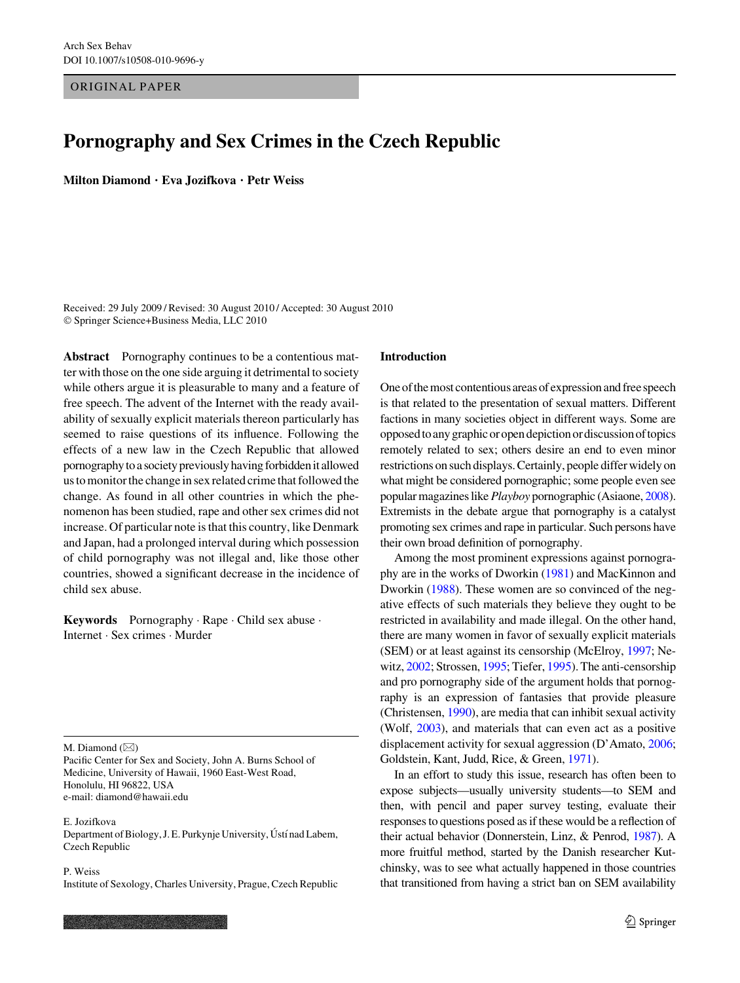ORIGINAL PAPER

# Pornography and Sex Crimes in the Czech Republic

Milton Diamond • Eva Jozifkova • Petr Weiss

Received: 29 July 2009 / Revised: 30 August 2010 / Accepted: 30 August 2010 © Springer Science+Business Media, LLC 2010

Abstract Pornography continues to be a contentious matter with those on the one side arguing it detrimental to society while others argue it is pleasurable to many and a feature of free speech. The advent of the Internet with the ready availability of sexually explicit materials thereon particularly has seemed to raise questions of its influence. Following the effects of a new law in the Czech Republic that allowed pornography to a society previously having forbidden it allowed usto monitorthe change in sex related crime that followed the change. As found in all other countries in which the phenomenon has been studied, rape and other sex crimes did not increase. Of particular note is that this country, like Denmark and Japan, had a prolonged interval during which possession of child pornography was not illegal and, like those other countries, showed a significant decrease in the incidence of child sex abuse.

Keywords Pornography · Rape · Child sex abuse · Internet - Sex crimes - Murder

M. Diamond  $(\boxtimes)$ 

Pacific Center for Sex and Society, John A. Burns School of Medicine, University of Hawaii, 1960 East-West Road, Honolulu, HI 96822, USA e-mail: diamond@hawaii.edu

E. Jozifkova

Department of Biology, J. E. Purkynje University, Ústí nad Labem, Czech Republic

P. Weiss Institute of Sexology, Charles University, Prague, Czech Republic

#### Introduction

One of the most contentious areas of expression and free speech is that related to the presentation of sexual matters. Different factions in many societies object in different ways. Some are opposedto any graphic or open depiction or discussion oftopics remotely related to sex; others desire an end to even minor restrictions on such displays. Certainly, people differ widely on what might be considered pornographic; some people even see popular magazines like*Playboy* pornographic (Asiaone, 2008). Extremists in the debate argue that pornography is a catalyst promoting sex crimes and rape in particular. Such persons have their own broad definition of pornography.

Among the most prominent expressions against pornography are in the works of Dworkin (1981) and MacKinnon and Dworkin (1988). These women are so convinced of the negative effects of such materials they believe they ought to be restricted in availability and made illegal. On the other hand, there are many women in favor of sexually explicit materials (SEM) or at least against its censorship (McElroy, 1997; Newitz, 2002; Strossen, 1995; Tiefer, 1995). The anti-censorship and pro pornography side of the argument holds that pornography is an expression of fantasies that provide pleasure (Christensen, 1990), are media that can inhibit sexual activity (Wolf, 2003), and materials that can even act as a positive displacement activity for sexual aggression (D'Amato, 2006; Goldstein, Kant, Judd, Rice, & Green, 1971).

In an effort to study this issue, research has often been to expose subjects—usually university students—to SEM and then, with pencil and paper survey testing, evaluate their responses to questions posed as if these would be a reflection of their actual behavior (Donnerstein, Linz, & Penrod, 1987). A more fruitful method, started by the Danish researcher Kutchinsky, was to see what actually happened in those countries that transitioned from having a strict ban on SEM availability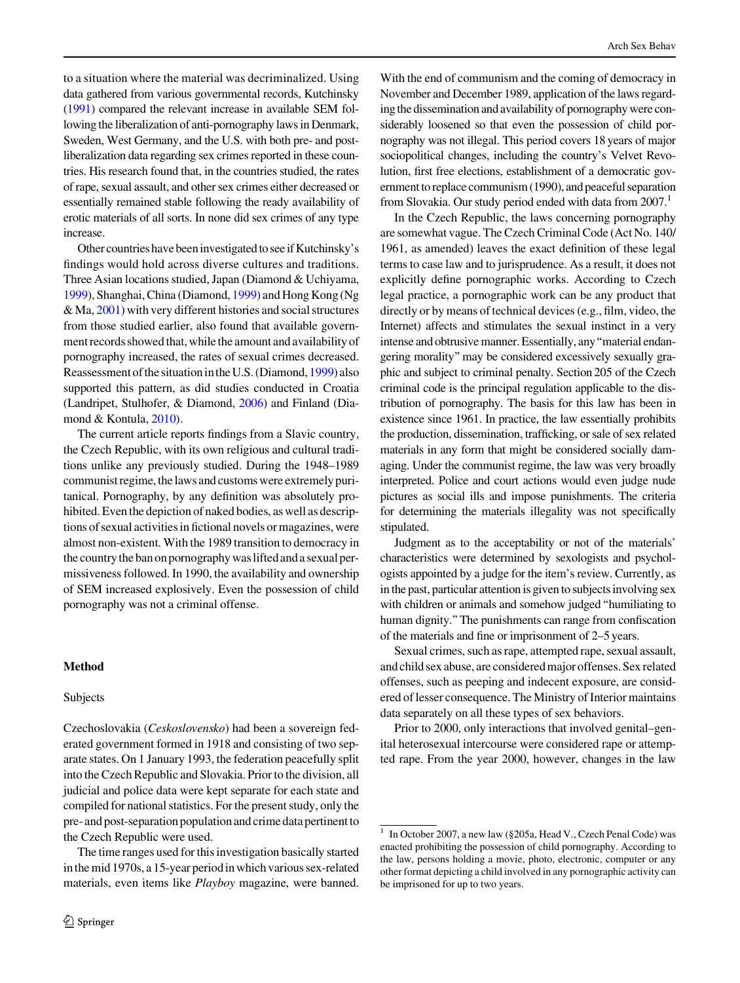to a situation where the material was decriminalized. Using data gathered from various governmental records, Kutchinsky (1991) compared the relevant increase in available SEM following the liberalization of anti-pornography laws in Denmark, Sweden, West Germany, and the U.S. with both pre- and postliberalization data regarding sex crimes reported in these countries. His research found that, in the countries studied, the rates of rape, sexual assault, and other sex crimes either decreased or essentially remained stable following the ready availability of erotic materials of all sorts. In none did sex crimes of any type increase.

Other countries have been investigated to see if Kutchinsky's findings would hold across diverse cultures and traditions. Three Asian locations studied, Japan (Diamond & Uchiyama, 1999), Shanghai, China (Diamond, 1999) and Hong Kong (Ng & Ma, 2001) with very different histories and social structures from those studied earlier, also found that available government records showed that, while the amount and availability of pornography increased, the rates of sexual crimes decreased. Reassessment of the situation in the U.S. (Diamond, 1999) also supported this pattern, as did studies conducted in Croatia (Landripet, Stulhofer, & Diamond, 2006) and Finland (Diamond & Kontula, 2010).

The current article reports findings from a Slavic country, the Czech Republic, with its own religious and cultural traditions unlike any previously studied. During the 1948–1989 communist regime, the laws and customs were extremely puritanical. Pornography, by any definition was absolutely prohibited. Even the depiction of naked bodies, as well as descriptions of sexual activities in fictional novels or magazines, were almost non-existent. With the 1989 transition to democracy in the countrythe ban on pornography waslifted and a sexual permissiveness followed. In 1990, the availability and ownership of SEM increased explosively. Even the possession of child pornography was not a criminal offense.

## Method

#### Subjects

Czechoslovakia (*Ceskoslovensko*) had been a sovereign federated government formed in 1918 and consisting of two separate states. On 1 January 1993, the federation peacefully split into the Czech Republic and Slovakia. Prior to the division, all judicial and police data were kept separate for each state and compiled for national statistics. For the present study, only the pre- and post-separation population and crime data pertinent to the Czech Republic were used.

The time ranges used for this investigation basically started inthe mid 1970s, a 15-year periodin which various sex-related materials, even items like *Playboy* magazine, were banned.

With the end of communism and the coming of democracy in November and December 1989, application of the laws regarding the dissemination and availability of pornography were considerably loosened so that even the possession of child pornography was not illegal. This period covers 18 years of major sociopolitical changes, including the country's Velvet Revolution, first free elections, establishment of a democratic government to replace communism (1990), and peaceful separation from Slovakia. Our study period ended with data from 2007.<sup>1</sup>

In the Czech Republic, the laws concerning pornography are somewhat vague. The Czech Criminal Code (Act No. 140/ 1961, as amended) leaves the exact definition of these legal terms to case law and to jurisprudence. As a result, it does not explicitly define pornographic works. According to Czech legal practice, a pornographic work can be any product that directly or by means of technical devices (e.g., film, video, the Internet) affects and stimulates the sexual instinct in a very intense and obtrusive manner. Essentially, any''material endangering morality'' may be considered excessively sexually graphic and subject to criminal penalty. Section 205 of the Czech criminal code is the principal regulation applicable to the distribution of pornography. The basis for this law has been in existence since 1961. In practice, the law essentially prohibits the production, dissemination, trafficking, or sale of sex related materials in any form that might be considered socially damaging. Under the communist regime, the law was very broadly interpreted. Police and court actions would even judge nude pictures as social ills and impose punishments. The criteria for determining the materials illegality was not specifically stipulated.

Judgment as to the acceptability or not of the materials' characteristics were determined by sexologists and psychologists appointed by a judge for the item's review. Currently, as in the past, particular attention is given to subjects involving sex with children or animals and somehow judged ''humiliating to human dignity.''The punishments can range from confiscation of the materials and fine or imprisonment of 2–5 years.

Sexual crimes, such as rape, attempted rape, sexual assault, and child sex abuse, are consideredmajor offenses. Sex related offenses, such as peeping and indecent exposure, are considered of lesser consequence. The Ministry of Interior maintains data separately on all these types of sex behaviors.

Prior to 2000, only interactions that involved genital–genital heterosexual intercourse were considered rape or attempted rape. From the year 2000, however, changes in the law

<sup>1</sup> In October 2007, a new law (§205a, Head V., Czech Penal Code) was enacted prohibiting the possession of child pornography. According to the law, persons holding a movie, photo, electronic, computer or any other format depicting a child involved in any pornographic activity can be imprisoned for up to two years.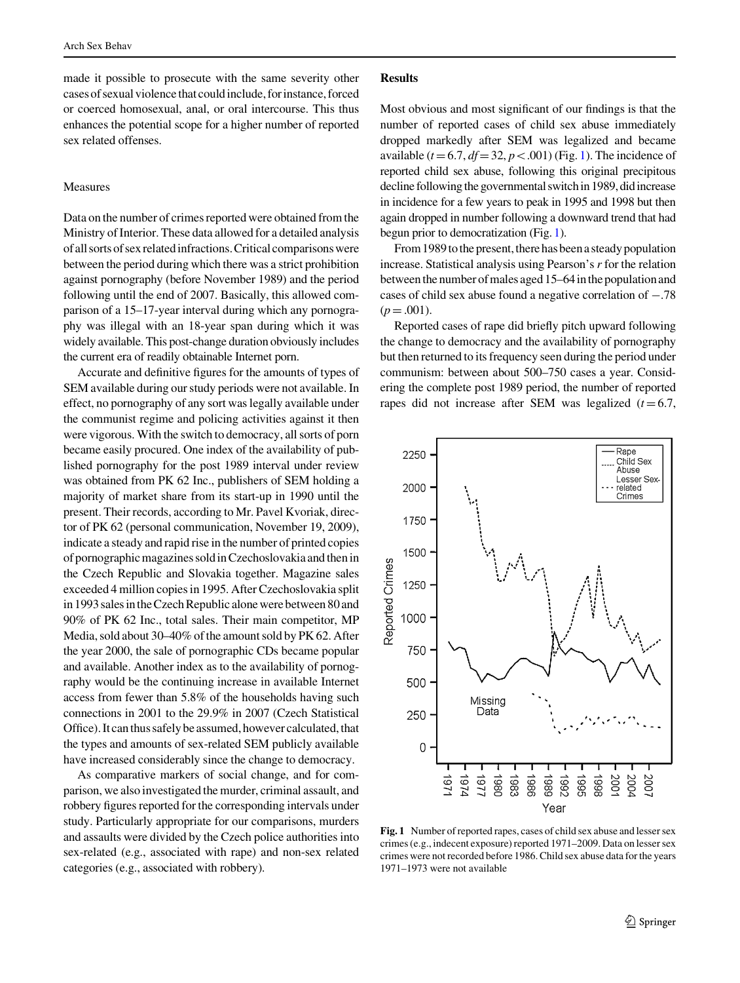made it possible to prosecute with the same severity other cases of sexual violencethat couldinclude, forinstance, forced or coerced homosexual, anal, or oral intercourse. This thus enhances the potential scope for a higher number of reported sex related offenses.

## Measures

Data on the number of crimes reported were obtained from the Ministry of Interior. These data allowed for a detailed analysis ofall sorts of sex relatedinfractions.Critical comparisonswere between the period during which there was a strict prohibition against pornography (before November 1989) and the period following until the end of 2007. Basically, this allowed comparison of a 15–17-year interval during which any pornography was illegal with an 18-year span during which it was widely available. This post-change duration obviously includes the current era of readily obtainable Internet porn.

Accurate and definitive figures for the amounts of types of SEM available during our study periods were not available. In effect, no pornography of any sort was legally available under the communist regime and policing activities against it then were vigorous. With the switch to democracy, all sorts of porn became easily procured. One index of the availability of published pornography for the post 1989 interval under review was obtained from PK 62 Inc., publishers of SEM holding a majority of market share from its start-up in 1990 until the present. Their records, according to Mr. Pavel Kvoriak, director of PK 62 (personal communication, November 19, 2009), indicate a steady and rapid rise in the number of printed copies of pornographic magazines sold in Czechoslovakia and then in the Czech Republic and Slovakia together. Magazine sales exceeded 4 million copies in 1995. After Czechoslovakia split in 1993 sales in the Czech Republic alone were between 80 and 90% of PK 62 Inc., total sales. Their main competitor, MP Media, sold about 30–40% of the amount sold by PK 62. After the year 2000, the sale of pornographic CDs became popular and available. Another index as to the availability of pornography would be the continuing increase in available Internet access from fewer than 5.8% of the households having such connections in 2001 to the 29.9% in 2007 (Czech Statistical Office). It can thus safely be assumed, however calculated, that the types and amounts of sex-related SEM publicly available have increased considerably since the change to democracy.

As comparative markers of social change, and for comparison, we also investigated the murder, criminal assault, and robbery figures reported for the corresponding intervals under study. Particularly appropriate for our comparisons, murders and assaults were divided by the Czech police authorities into sex-related (e.g., associated with rape) and non-sex related categories (e.g., associated with robbery).

### Results

Most obvious and most significant of our findings is that the number of reported cases of child sex abuse immediately dropped markedly after SEM was legalized and became available  $(t=6.7, df=32, p<.001)$  (Fig. 1). The incidence of reported child sex abuse, following this original precipitous decline following the governmental switch in 1989, did increase in incidence for a few years to peak in 1995 and 1998 but then again dropped in number following a downward trend that had begun prior to democratization (Fig. 1).

From 1989 to the present, there has been a steady population increase. Statistical analysis using Pearson's *r* for the relation between the number of males aged 15–64 in the population and cases of child sex abuse found a negative correlation of  $-.78$  $(p=.001)$ .

Reported cases of rape did briefly pitch upward following the change to democracy and the availability of pornography but then returned to its frequency seen during the period under communism: between about 500–750 cases a year. Considering the complete post 1989 period, the number of reported rapes did not increase after SEM was legalized  $(t=6.7)$ ,



Fig. 1 Number of reported rapes, cases of child sex abuse and lesser sex crimes (e.g., indecent exposure) reported 1971–2009. Data on lesser sex crimes were not recorded before 1986. Child sex abuse data for the years 1971–1973 were not available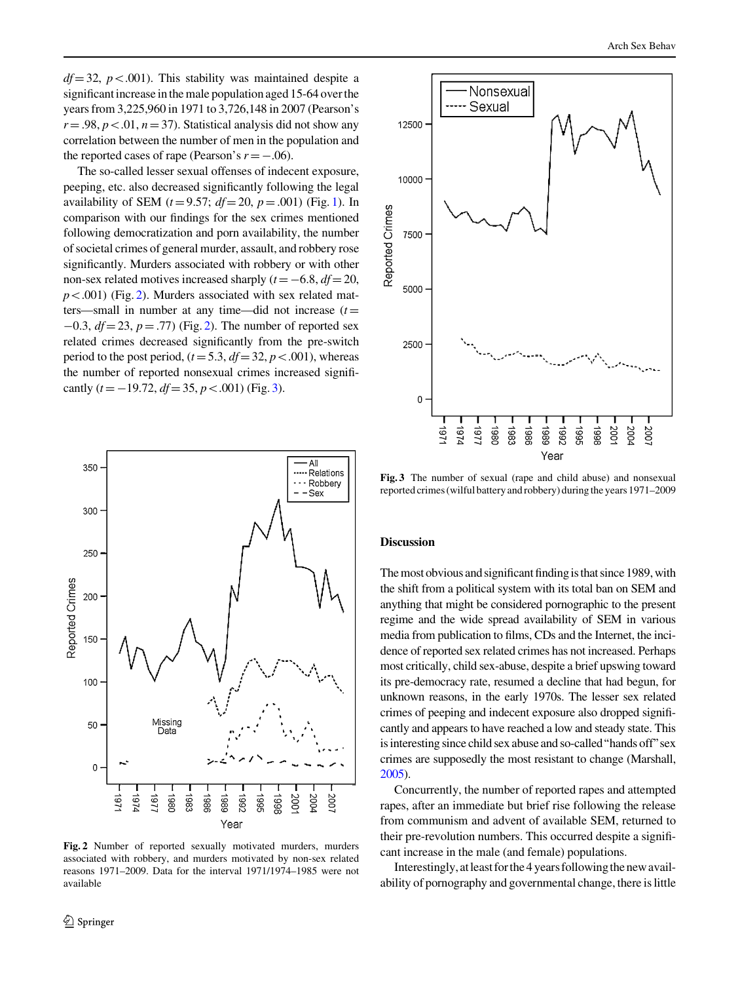$df = 32$ ,  $p < .001$ ). This stability was maintained despite a significant increase in the male population aged 15-64 over the years from 3,225,960 in 1971 to 3,726,148 in 2007 (Pearson's  $r = .98$ ,  $p < .01$ ,  $n = 37$ ). Statistical analysis did not show any correlation between the number of men in the population and the reported cases of rape (Pearson's  $r = -.06$ ).

The so-called lesser sexual offenses of indecent exposure, peeping, etc. also decreased significantly following the legal availability of SEM  $(t=9.57; df=20, p=.001)$  (Fig. 1). In comparison with our findings for the sex crimes mentioned following democratization and porn availability, the number of societal crimes of general murder, assault, and robbery rose significantly. Murders associated with robbery or with other non-sex related motives increased sharply  $(t = -6.8, df = 20,$  $p$ <.001) (Fig. 2). Murders associated with sex related matters—small in number at any time—did not increase  $(t=$  $-0.3$ ,  $df = 23$ ,  $p = .77$ ) (Fig. 2). The number of reported sex related crimes decreased significantly from the pre-switch period to the post period,  $(t = 5.3, df = 32, p < .001)$ , whereas the number of reported nonsexual crimes increased significantly  $(t = -19.72, df = 35, p < .001)$  (Fig. 3).



Fig. 2 Number of reported sexually motivated murders, murders associated with robbery, and murders motivated by non-sex related reasons 1971–2009. Data for the interval 1971/1974–1985 were not available



Fig. 3 The number of sexual (rape and child abuse) and nonsexual reported crimes (wilful battery and robbery) duringthe years 1971–2009

## Discussion

The most obvious and significant finding is that since 1989, with the shift from a political system with its total ban on SEM and anything that might be considered pornographic to the present regime and the wide spread availability of SEM in various media from publication to films, CDs and the Internet, the incidence of reported sex related crimes has not increased. Perhaps most critically, child sex-abuse, despite a brief upswing toward its pre-democracy rate, resumed a decline that had begun, for unknown reasons, in the early 1970s. The lesser sex related crimes of peeping and indecent exposure also dropped significantly and appears to have reached a low and steady state. This is interesting since child sex abuse and so-called''hands off''sex crimes are supposedly the most resistant to change (Marshall, 2005).

Concurrently, the number of reported rapes and attempted rapes, after an immediate but brief rise following the release from communism and advent of available SEM, returned to their pre-revolution numbers. This occurred despite a significant increase in the male (and female) populations.

Interestingly, at least for the 4 years following the new availability of pornography and governmental change, there is little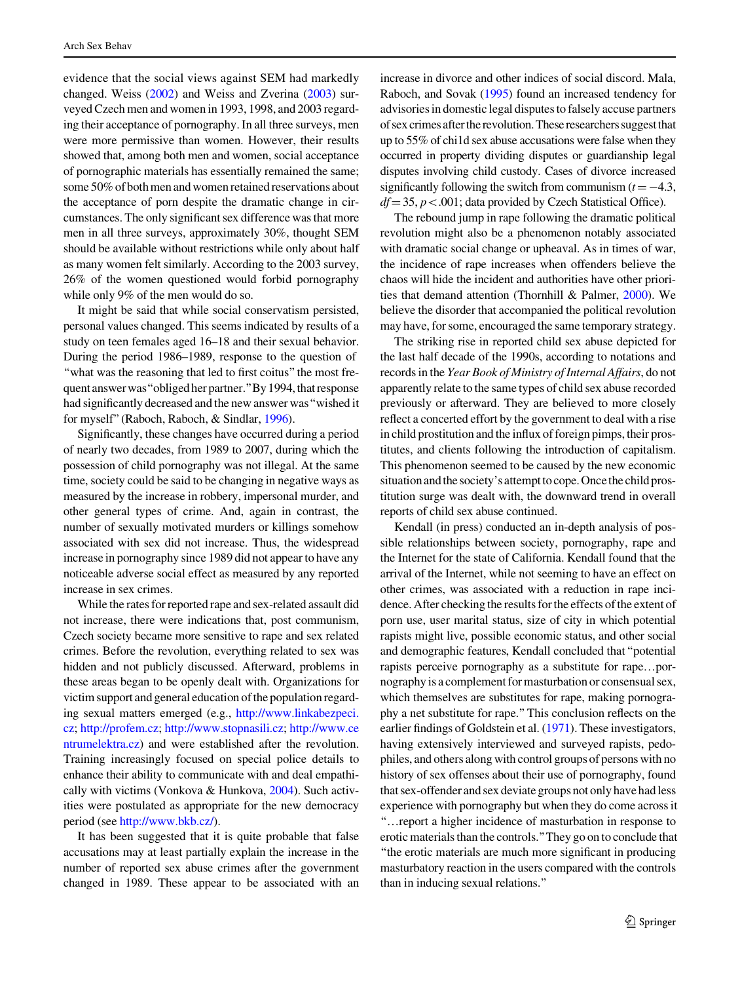evidence that the social views against SEM had markedly changed. Weiss (2002) and Weiss and Zverina (2003) surveyed Czech men and women in 1993, 1998, and 2003 regarding their acceptance of pornography. In all three surveys, men were more permissive than women. However, their results showed that, among both men and women, social acceptance of pornographic materials has essentially remained the same; some 50% of both men and women retained reservations about the acceptance of porn despite the dramatic change in circumstances. The only significant sex difference was that more men in all three surveys, approximately 30%, thought SEM should be available without restrictions while only about half as many women felt similarly. According to the 2003 survey, 26% of the women questioned would forbid pornography while only 9% of the men would do so.

It might be said that while social conservatism persisted, personal values changed. This seems indicated by results of a study on teen females aged 16–18 and their sexual behavior. During the period 1986–1989, response to the question of "what was the reasoning that led to first coitus" the most frequent answer was "obliged her partner." By 1994, that response had significantly decreased and the new answer was''wished it for myself'' (Raboch, Raboch, & Sindlar, 1996).

Significantly, these changes have occurred during a period of nearly two decades, from 1989 to 2007, during which the possession of child pornography was not illegal. At the same time, society could be said to be changing in negative ways as measured by the increase in robbery, impersonal murder, and other general types of crime. And, again in contrast, the number of sexually motivated murders or killings somehow associated with sex did not increase. Thus, the widespread increase in pornography since 1989 did not appear to have any noticeable adverse social effect as measured by any reported increase in sex crimes.

While the rates for reported rape and sex-related assault did not increase, there were indications that, post communism, Czech society became more sensitive to rape and sex related crimes. Before the revolution, everything related to sex was hidden and not publicly discussed. Afterward, problems in these areas began to be openly dealt with. Organizations for victim support and general education of the population regarding sexual matters emerged (e.g., http://www.linkabezpeci. cz; http://profem.cz; http://www.stopnasili.cz; http://www.ce ntrumelektra.cz) and were established after the revolution. Training increasingly focused on special police details to enhance their ability to communicate with and deal empathically with victims (Vonkova & Hunkova, 2004). Such activities were postulated as appropriate for the new democracy period (see http://www.bkb.cz/).

It has been suggested that it is quite probable that false accusations may at least partially explain the increase in the number of reported sex abuse crimes after the government changed in 1989. These appear to be associated with an increase in divorce and other indices of social discord. Mala, Raboch, and Sovak (1995) found an increased tendency for advisories in domestic legal disputes to falsely accuse partners of sex crimes afterthe revolution.These researchers suggestthat up to 55% of chi1d sex abuse accusations were false when they occurred in property dividing disputes or guardianship legal disputes involving child custody. Cases of divorce increased significantly following the switch from communism  $(t = -4.3$ ,  $df = 35$ ,  $p < .001$ ; data provided by Czech Statistical Office).

The rebound jump in rape following the dramatic political revolution might also be a phenomenon notably associated with dramatic social change or upheaval. As in times of war, the incidence of rape increases when offenders believe the chaos will hide the incident and authorities have other priorities that demand attention (Thornhill & Palmer, 2000). We believe the disorder that accompanied the political revolution may have, for some, encouraged the same temporary strategy.

The striking rise in reported child sex abuse depicted for the last half decade of the 1990s, according to notations and records in the *Year Book of Ministry of Internal Affairs*, do not apparently relate to the same types of child sex abuse recorded previously or afterward. They are believed to more closely reflect a concerted effort by the government to deal with a rise in child prostitution and the influx of foreign pimps, their prostitutes, and clients following the introduction of capitalism. This phenomenon seemed to be caused by the new economic situation and the society's attempt to cope. Once the child prostitution surge was dealt with, the downward trend in overall reports of child sex abuse continued.

Kendall (in press) conducted an in-depth analysis of possible relationships between society, pornography, rape and the Internet for the state of California. Kendall found that the arrival of the Internet, while not seeming to have an effect on other crimes, was associated with a reduction in rape incidence. After checking the results for the effects of the extent of porn use, user marital status, size of city in which potential rapists might live, possible economic status, and other social and demographic features, Kendall concluded that ''potential rapists perceive pornography as a substitute for rape…pornography is a complement for masturbation or consensual sex, which themselves are substitutes for rape, making pornography a net substitute for rape.''This conclusion reflects on the earlier findings of Goldstein et al. (1971). These investigators, having extensively interviewed and surveyed rapists, pedophiles, and others along with control groups of persons with no history of sex offenses about their use of pornography, found that sex-offender and sex deviate groups not only have hadless experience with pornography but when they do come across it ''…report a higher incidence of masturbation in response to erotic materials than the controls.''They go on to conclude that ''the erotic materials are much more significant in producing masturbatory reaction in the users compared with the controls than in inducing sexual relations.''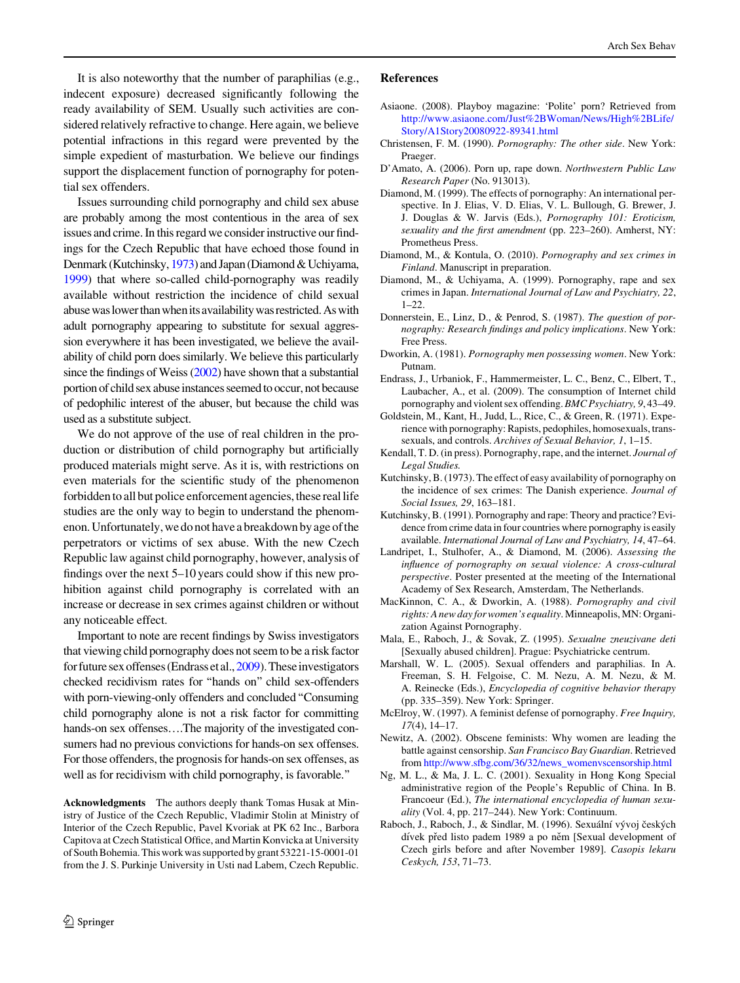It is also noteworthy that the number of paraphilias (e.g., indecent exposure) decreased significantly following the ready availability of SEM. Usually such activities are considered relatively refractive to change. Here again, we believe potential infractions in this regard were prevented by the simple expedient of masturbation. We believe our findings support the displacement function of pornography for potential sex offenders.

Issues surrounding child pornography and child sex abuse are probably among the most contentious in the area of sex issues and crime. In this regard we consider instructive our findings for the Czech Republic that have echoed those found in Denmark (Kutchinsky, 1973) and Japan (Diamond & Uchiyama, 1999) that where so-called child-pornography was readily available without restriction the incidence of child sexual abuse was lower than when its availability was restricted. As with adult pornography appearing to substitute for sexual aggression everywhere it has been investigated, we believe the availability of child porn does similarly. We believe this particularly since the findings of Weiss (2002) have shown that a substantial portion of child sex abuse instances seemed to occur, not because of pedophilic interest of the abuser, but because the child was used as a substitute subject.

We do not approve of the use of real children in the production or distribution of child pornography but artificially produced materials might serve. As it is, with restrictions on even materials for the scientific study of the phenomenon forbidden to all but police enforcement agencies, these real life studies are the only way to begin to understand the phenomenon. Unfortunately, we do not have a breakdown by age of the perpetrators or victims of sex abuse. With the new Czech Republic law against child pornography, however, analysis of findings over the next 5–10 years could show if this new prohibition against child pornography is correlated with an increase or decrease in sex crimes against children or without any noticeable effect.

Important to note are recent findings by Swiss investigators that viewing child pornography does not seem to be a risk factor for future sex offenses (Endrass etal.,2009).Theseinvestigators checked recidivism rates for ''hands on'' child sex-offenders with porn-viewing-only offenders and concluded ''Consuming child pornography alone is not a risk factor for committing hands-on sex offenses….The majority of the investigated consumers had no previous convictions for hands-on sex offenses. For those offenders, the prognosis for hands-on sex offenses, as well as for recidivism with child pornography, is favorable.''

Acknowledgments The authors deeply thank Tomas Husak at Ministry of Justice of the Czech Republic, Vladimir Stolin at Ministry of Interior of the Czech Republic, Pavel Kvoriak at PK 62 Inc., Barbora Capitova at Czech Statistical Office, and Martin Konvicka at University of South Bohemia. This work was supported by grant 53221-15-0001-01 from the J. S. Purkinje University in Usti nad Labem, Czech Republic.

### References

- Asiaone. (2008). Playboy magazine: 'Polite' porn? Retrieved from http://www.asiaone.com/Just%2BWoman/News/High%2BLife/ Story/A1Story20080922-89341.html
- Christensen, F. M. (1990). *Pornography: The other side*. New York: Praeger.
- D'Amato, A. (2006). Porn up, rape down. *Northwestern Public Law Research Paper* (No. 913013).
- Diamond, M. (1999). The effects of pornography: An international perspective. In J. Elias, V. D. Elias, V. L. Bullough, G. Brewer, J. J. Douglas & W. Jarvis (Eds.), *Pornography 101: Eroticism, sexuality and the first amendment* (pp. 223–260). Amherst, NY: Prometheus Press.
- Diamond, M., & Kontula, O. (2010). *Pornography and sex crimes in Finland*. Manuscript in preparation.
- Diamond, M., & Uchiyama, A. (1999). Pornography, rape and sex crimes in Japan. *International Journal of Law and Psychiatry, 22*, 1–22.
- Donnerstein, E., Linz, D., & Penrod, S. (1987). *The question of pornography: Research findings and policy implications*. New York: Free Press.
- Dworkin, A. (1981). *Pornography men possessing women*. New York: Putnam.
- Endrass, J., Urbaniok, F., Hammermeister, L. C., Benz, C., Elbert, T., Laubacher, A., et al. (2009). The consumption of Internet child pornography and violent sex offending.*BMC Psychiatry, 9*, 43–49.
- Goldstein, M., Kant, H., Judd, L., Rice, C., & Green, R. (1971). Experience with pornography: Rapists, pedophiles, homosexuals, transsexuals, and controls. *Archives of Sexual Behavior, 1*, 1–15.
- Kendall, T. D. (in press). Pornography, rape, and the internet. *Journal of Legal Studies.*
- Kutchinsky, B. (1973). The effect of easy availability of pornography on the incidence of sex crimes: The Danish experience. *Journal of Social Issues, 29*, 163–181.
- Kutchinsky, B. (1991). Pornography and rape: Theory and practice? Evidence from crime data in four countries where pornography is easily available. *International Journal of Law and Psychiatry, 14*, 47–64.
- Landripet, I., Stulhofer, A., & Diamond, M. (2006). *Assessing the influence of pornography on sexual violence: A cross*-*cultural perspective*. Poster presented at the meeting of the International Academy of Sex Research, Amsterdam, The Netherlands.
- MacKinnon, C. A., & Dworkin, A. (1988). *Pornography and civil rights: A new day for women's equality*.Minneapolis, MN: Organization Against Pornography.
- Mala, E., Raboch, J., & Sovak, Z. (1995). *Sexualne zneuzivane deti* [Sexually abused children]. Prague: Psychiatricke centrum.
- Marshall, W. L. (2005). Sexual offenders and paraphilias. In A. Freeman, S. H. Felgoise, C. M. Nezu, A. M. Nezu, & M. A. Reinecke (Eds.), *Encyclopedia of cognitive behavior therapy* (pp. 335–359). New York: Springer.
- McElroy, W. (1997). A feminist defense of pornography. *Free Inquiry, 17*(4), 14–17.
- Newitz, A. (2002). Obscene feminists: Why women are leading the battle against censorship. *San Francisco Bay Guardian*. Retrieved from http://www.sfbg.com/36/32/news\_womenvscensorship.html
- Ng, M. L., & Ma, J. L. C. (2001). Sexuality in Hong Kong Special administrative region of the People's Republic of China. In B. Francoeur (Ed.), *The international encyclopedia of human sexuality* (Vol. 4, pp. 217–244). New York: Continuum.
- Raboch, J., Raboch, J., & Sindlar, M. (1996). Sexuální vývoj českých dívek před listo padem 1989 a po něm [Sexual development of Czech girls before and after November 1989]. *Casopis lekaru Ceskych, 153*, 71–73.